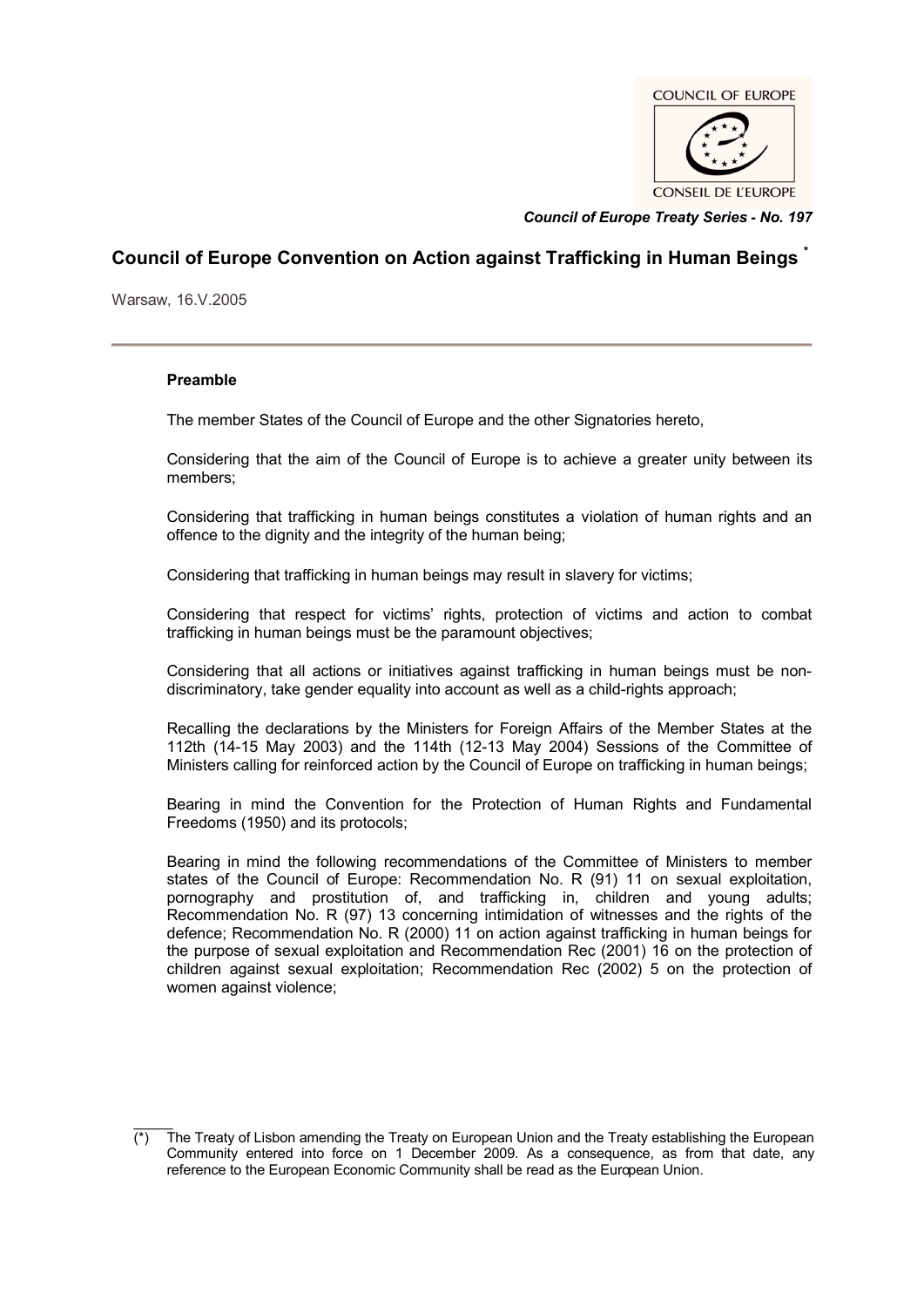

*Council of Europe Treaty Series* **-** *No. 197*

# **Council of Europe Convention on Action against Trafficking in Human Beings \***

Warsaw, 16.V.2005

### **Preamble**

The member States of the Council of Europe and the other Signatories hereto,

Considering that the aim of the Council of Europe is to achieve a greater unity between its members;

Considering that trafficking in human beings constitutes a violation of human rights and an offence to the dignity and the integrity of the human being;

Considering that trafficking in human beings may result in slavery for victims;

Considering that respect for victims' rights, protection of victims and action to combat trafficking in human beings must be the paramount objectives;

Considering that all actions or initiatives against trafficking in human beings must be nondiscriminatory, take gender equality into account as well as a child-rights approach;

Recalling the declarations by the Ministers for Foreign Affairs of the Member States at the 112th (14-15 May 2003) and the 114th (12-13 May 2004) Sessions of the Committee of Ministers calling for reinforced action by the Council of Europe on trafficking in human beings;

Bearing in mind the Convention for the Protection of Human Rights and Fundamental Freedoms (1950) and its protocols;

Bearing in mind the following recommendations of the Committee of Ministers to member states of the Council of Europe: Recommendation No. R (91) 11 on sexual exploitation, pornography and prostitution of, and trafficking in, children and young adults; Recommendation No. R (97) 13 concerning intimidation of witnesses and the rights of the defence; Recommendation No. R (2000) 11 on action against trafficking in human beings for the purpose of sexual exploitation and Recommendation Rec (2001) 16 on the protection of children against sexual exploitation; Recommendation Rec (2002) 5 on the protection of women against violence;

 $\mathcal{L}$ (\*) The Treaty of Lisbon amending the Treaty on European Union and the Treaty establishing the European Community entered into force on 1 December 2009. As a consequence, as from that date, any reference to the European Economic Community shall be read as the European Union.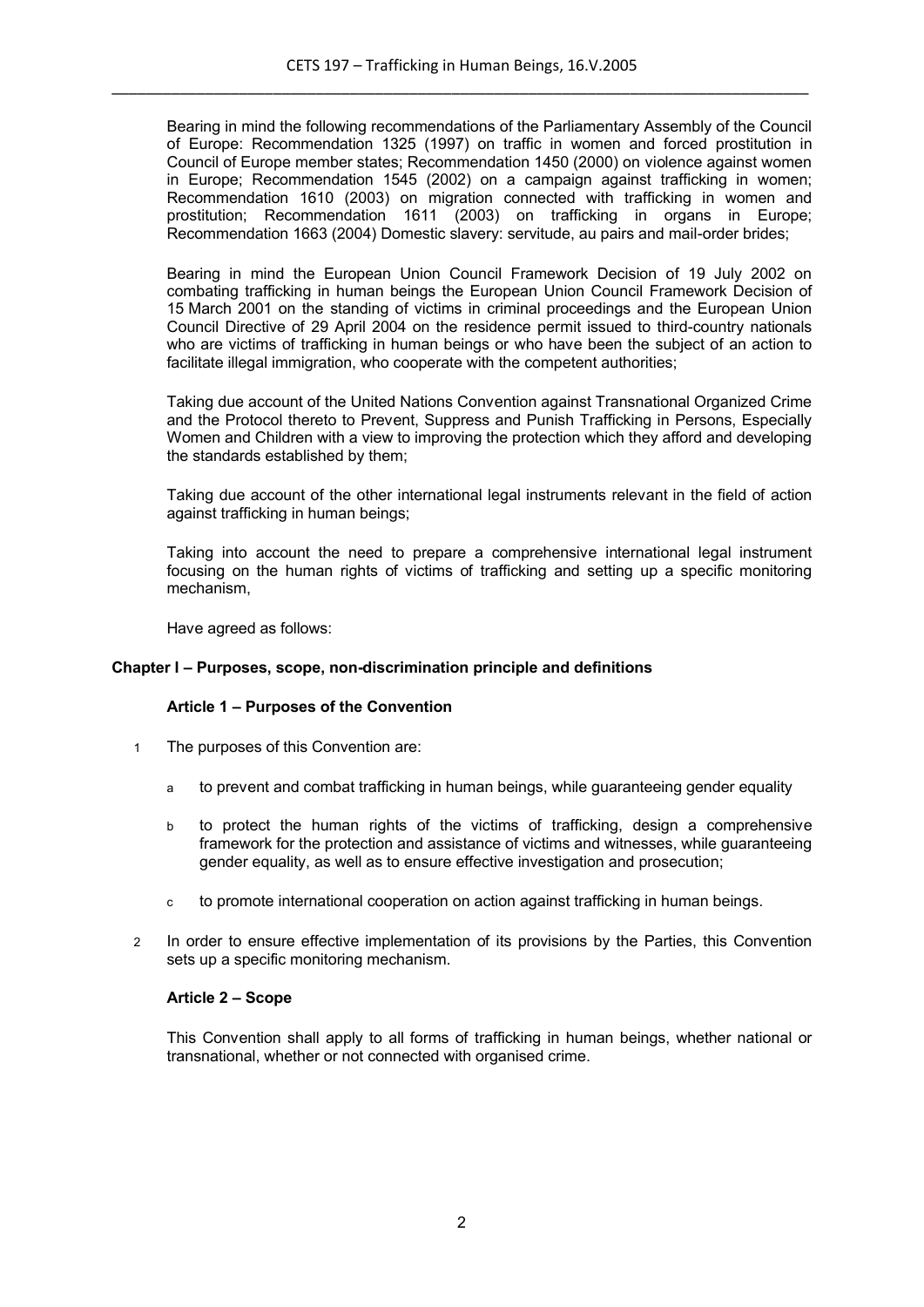Bearing in mind the following recommendations of the Parliamentary Assembly of the Council of Europe: Recommendation 1325 (1997) on traffic in women and forced prostitution in Council of Europe member states; Recommendation 1450 (2000) on violence against women in Europe; Recommendation 1545 (2002) on a campaign against trafficking in women; Recommendation 1610 (2003) on migration connected with trafficking in women and prostitution; Recommendation 1611 (2003) on trafficking in organs in Europe; Recommendation 1663 (2004) Domestic slavery: servitude, au pairs and mail-order brides;

Bearing in mind the European Union Council Framework Decision of 19 July 2002 on combating trafficking in human beings the European Union Council Framework Decision of 15 March 2001 on the standing of victims in criminal proceedings and the European Union Council Directive of 29 April 2004 on the residence permit issued to third-country nationals who are victims of trafficking in human beings or who have been the subject of an action to facilitate illegal immigration, who cooperate with the competent authorities;

Taking due account of the United Nations Convention against Transnational Organized Crime and the Protocol thereto to Prevent, Suppress and Punish Trafficking in Persons, Especially Women and Children with a view to improving the protection which they afford and developing the standards established by them;

Taking due account of the other international legal instruments relevant in the field of action against trafficking in human beings;

Taking into account the need to prepare a comprehensive international legal instrument focusing on the human rights of victims of trafficking and setting up a specific monitoring mechanism,

Have agreed as follows:

### **Chapter I – Purposes, scope, non-discrimination principle and definitions**

#### **Article 1 – Purposes of the Convention**

- 1 The purposes of this Convention are:
	- a to prevent and combat trafficking in human beings, while guaranteeing gender equality
	- b to protect the human rights of the victims of trafficking, design a comprehensive framework for the protection and assistance of victims and witnesses, while guaranteeing gender equality, as well as to ensure effective investigation and prosecution;
	- c to promote international cooperation on action against trafficking in human beings.
- 2 In order to ensure effective implementation of its provisions by the Parties, this Convention sets up a specific monitoring mechanism.

#### **Article 2 – Scope**

This Convention shall apply to all forms of trafficking in human beings, whether national or transnational, whether or not connected with organised crime.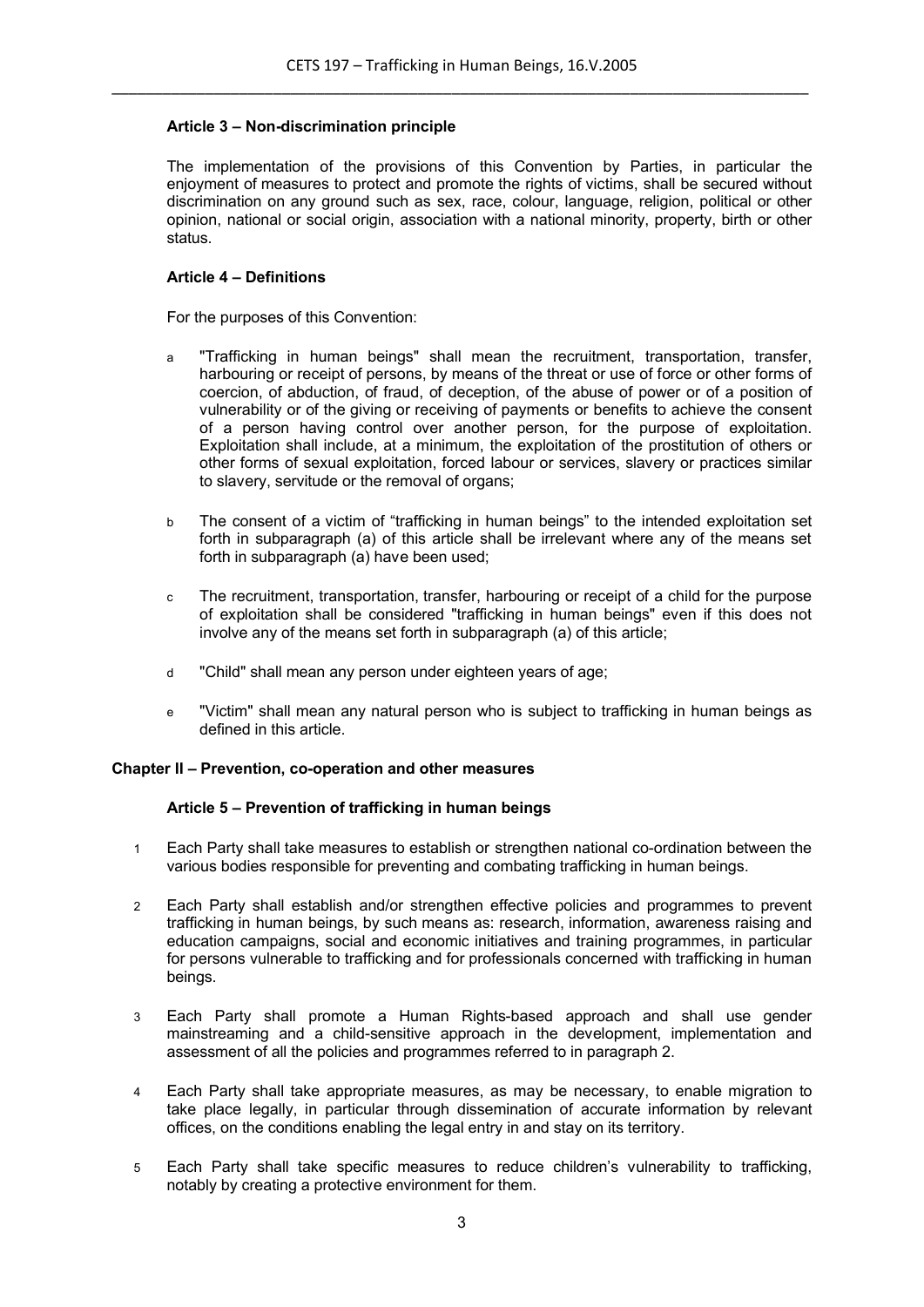### **Article 3 – Non-discrimination principle**

The implementation of the provisions of this Convention by Parties, in particular the enjoyment of measures to protect and promote the rights of victims, shall be secured without discrimination on any ground such as sex, race, colour, language, religion, political or other opinion, national or social origin, association with a national minority, property, birth or other status.

#### **Article 4 – Definitions**

For the purposes of this Convention:

- a "Trafficking in human beings" shall mean the recruitment, transportation, transfer, harbouring or receipt of persons, by means of the threat or use of force or other forms of coercion, of abduction, of fraud, of deception, of the abuse of power or of a position of vulnerability or of the giving or receiving of payments or benefits to achieve the consent of a person having control over another person, for the purpose of exploitation. Exploitation shall include, at a minimum, the exploitation of the prostitution of others or other forms of sexual exploitation, forced labour or services, slavery or practices similar to slavery, servitude or the removal of organs;
- b The consent of a victim of "trafficking in human beings" to the intended exploitation set forth in subparagraph (a) of this article shall be irrelevant where any of the means set forth in subparagraph (a) have been used;
- c The recruitment, transportation, transfer, harbouring or receipt of a child for the purpose of exploitation shall be considered "trafficking in human beings" even if this does not involve any of the means set forth in subparagraph (a) of this article;
- d "Child" shall mean any person under eighteen years of age;
- e "Victim" shall mean any natural person who is subject to trafficking in human beings as defined in this article.

### **Chapter II – Prevention, co-operation and other measures**

### **Article 5 – Prevention of trafficking in human beings**

- 1 Each Party shall take measures to establish or strengthen national co-ordination between the various bodies responsible for preventing and combating trafficking in human beings.
- 2 Each Party shall establish and/or strengthen effective policies and programmes to prevent trafficking in human beings, by such means as: research, information, awareness raising and education campaigns, social and economic initiatives and training programmes, in particular for persons vulnerable to trafficking and for professionals concerned with trafficking in human beings.
- 3 Each Party shall promote a Human Rights-based approach and shall use gender mainstreaming and a child-sensitive approach in the development, implementation and assessment of all the policies and programmes referred to in paragraph 2.
- 4 Each Party shall take appropriate measures, as may be necessary, to enable migration to take place legally, in particular through dissemination of accurate information by relevant offices, on the conditions enabling the legal entry in and stay on its territory.
- 5 Each Party shall take specific measures to reduce children's vulnerability to trafficking, notably by creating a protective environment for them.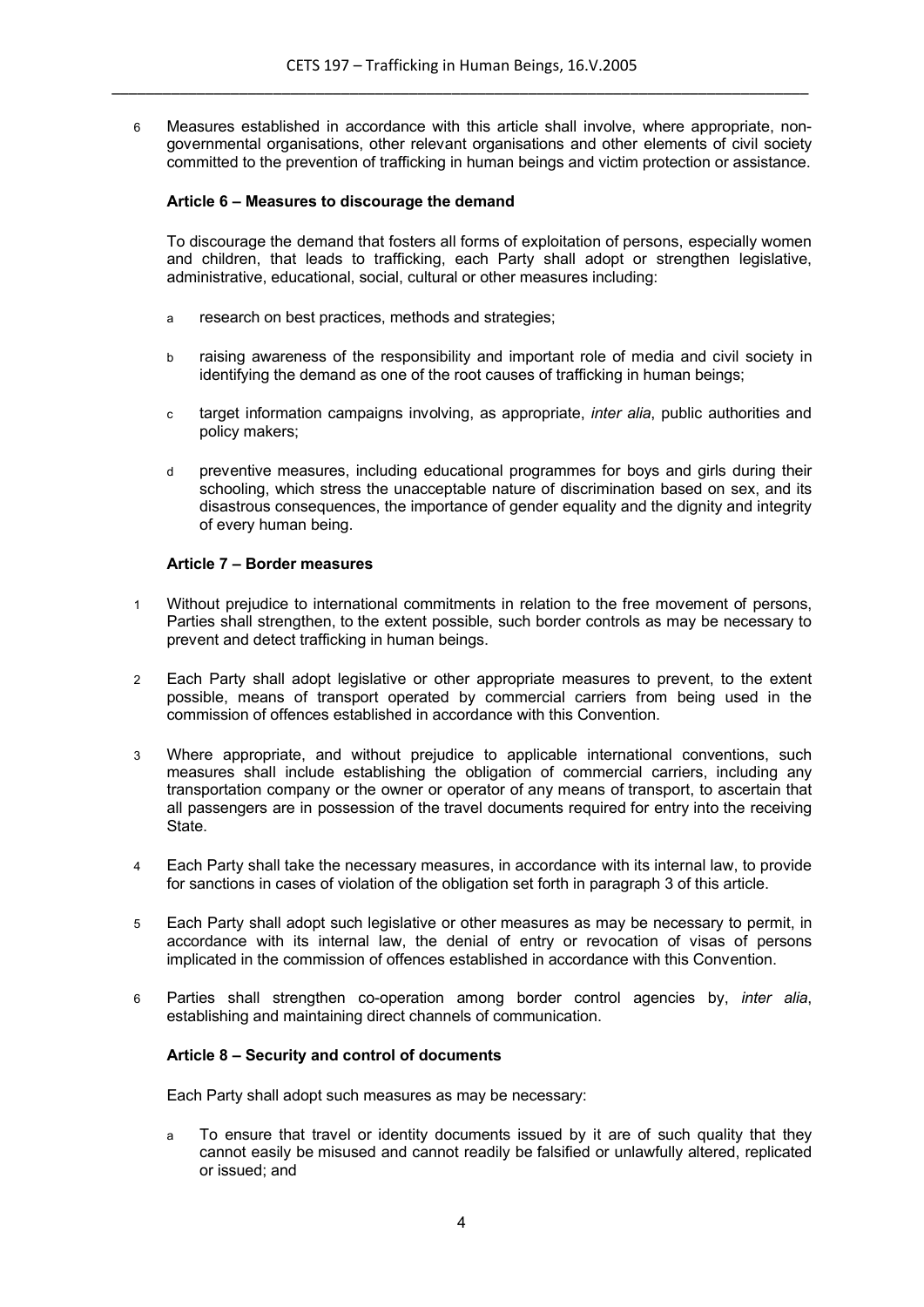6 Measures established in accordance with this article shall involve, where appropriate, nongovernmental organisations, other relevant organisations and other elements of civil society committed to the prevention of trafficking in human beings and victim protection or assistance.

#### **Article 6 – Measures to discourage the demand**

To discourage the demand that fosters all forms of exploitation of persons, especially women and children, that leads to trafficking, each Party shall adopt or strengthen legislative, administrative, educational, social, cultural or other measures including:

- a research on best practices, methods and strategies;
- b raising awareness of the responsibility and important role of media and civil society in identifying the demand as one of the root causes of trafficking in human beings;
- c target information campaigns involving, as appropriate, *inter alia*, public authorities and policy makers;
- d preventive measures, including educational programmes for boys and girls during their schooling, which stress the unacceptable nature of discrimination based on sex, and its disastrous consequences, the importance of gender equality and the dignity and integrity of every human being.

#### **Article 7 – Border measures**

- 1 Without prejudice to international commitments in relation to the free movement of persons, Parties shall strengthen, to the extent possible, such border controls as may be necessary to prevent and detect trafficking in human beings.
- 2 Each Party shall adopt legislative or other appropriate measures to prevent, to the extent possible, means of transport operated by commercial carriers from being used in the commission of offences established in accordance with this Convention.
- 3 Where appropriate, and without prejudice to applicable international conventions, such measures shall include establishing the obligation of commercial carriers, including any transportation company or the owner or operator of any means of transport, to ascertain that all passengers are in possession of the travel documents required for entry into the receiving State.
- 4 Each Party shall take the necessary measures, in accordance with its internal law, to provide for sanctions in cases of violation of the obligation set forth in paragraph 3 of this article.
- 5 Each Party shall adopt such legislative or other measures as may be necessary to permit, in accordance with its internal law, the denial of entry or revocation of visas of persons implicated in the commission of offences established in accordance with this Convention.
- 6 Parties shall strengthen co-operation among border control agencies by, *inter alia*, establishing and maintaining direct channels of communication.

### **Article 8 – Security and control of documents**

Each Party shall adopt such measures as may be necessary:

a To ensure that travel or identity documents issued by it are of such quality that they cannot easily be misused and cannot readily be falsified or unlawfully altered, replicated or issued; and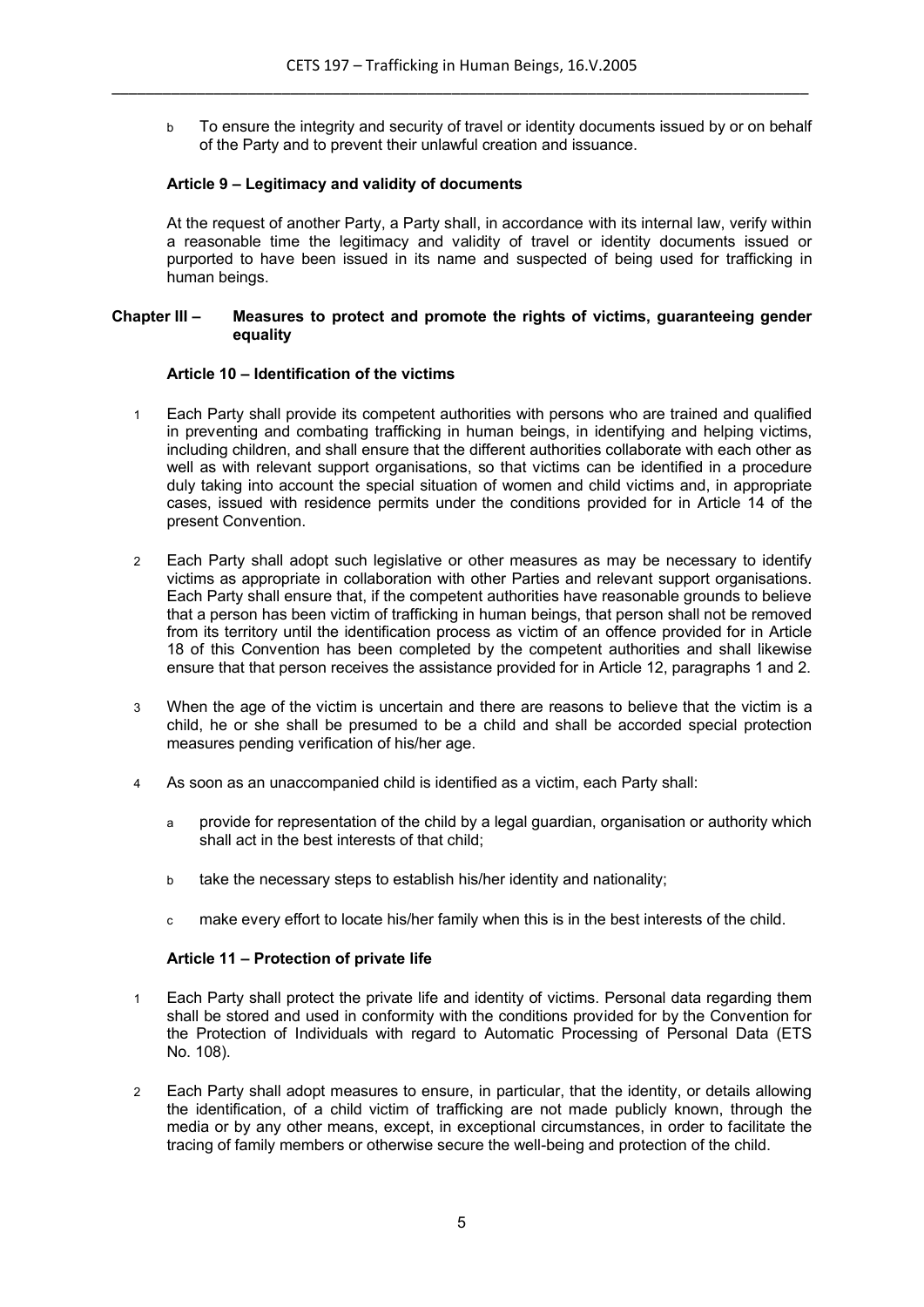b To ensure the integrity and security of travel or identity documents issued by or on behalf of the Party and to prevent their unlawful creation and issuance.

### **Article 9 – Legitimacy and validity of documents**

At the request of another Party, a Party shall, in accordance with its internal law, verify within a reasonable time the legitimacy and validity of travel or identity documents issued or purported to have been issued in its name and suspected of being used for trafficking in human beings.

#### **Chapter III – Measures to protect and promote the rights of victims, guaranteeing gender equality**

### **Article 10 – Identification of the victims**

- 1 Each Party shall provide its competent authorities with persons who are trained and qualified in preventing and combating trafficking in human beings, in identifying and helping victims, including children, and shall ensure that the different authorities collaborate with each other as well as with relevant support organisations, so that victims can be identified in a procedure duly taking into account the special situation of women and child victims and, in appropriate cases, issued with residence permits under the conditions provided for in Article 14 of the present Convention.
- 2 Each Party shall adopt such legislative or other measures as may be necessary to identify victims as appropriate in collaboration with other Parties and relevant support organisations. Each Party shall ensure that, if the competent authorities have reasonable grounds to believe that a person has been victim of trafficking in human beings, that person shall not be removed from its territory until the identification process as victim of an offence provided for in Article 18 of this Convention has been completed by the competent authorities and shall likewise ensure that that person receives the assistance provided for in Article 12, paragraphs 1 and 2.
- 3 When the age of the victim is uncertain and there are reasons to believe that the victim is a child, he or she shall be presumed to be a child and shall be accorded special protection measures pending verification of his/her age.
- 4 As soon as an unaccompanied child is identified as a victim, each Party shall:
	- a provide for representation of the child by a legal guardian, organisation or authority which shall act in the best interests of that child;
	- b take the necessary steps to establish his/her identity and nationality;
	- c make every effort to locate his/her family when this is in the best interests of the child.

### **Article 11 – Protection of private life**

- 1 Each Party shall protect the private life and identity of victims. Personal data regarding them shall be stored and used in conformity with the conditions provided for by the Convention for the Protection of Individuals with regard to Automatic Processing of Personal Data (ETS No. 108).
- 2 Each Party shall adopt measures to ensure, in particular, that the identity, or details allowing the identification, of a child victim of trafficking are not made publicly known, through the media or by any other means, except, in exceptional circumstances, in order to facilitate the tracing of family members or otherwise secure the well-being and protection of the child.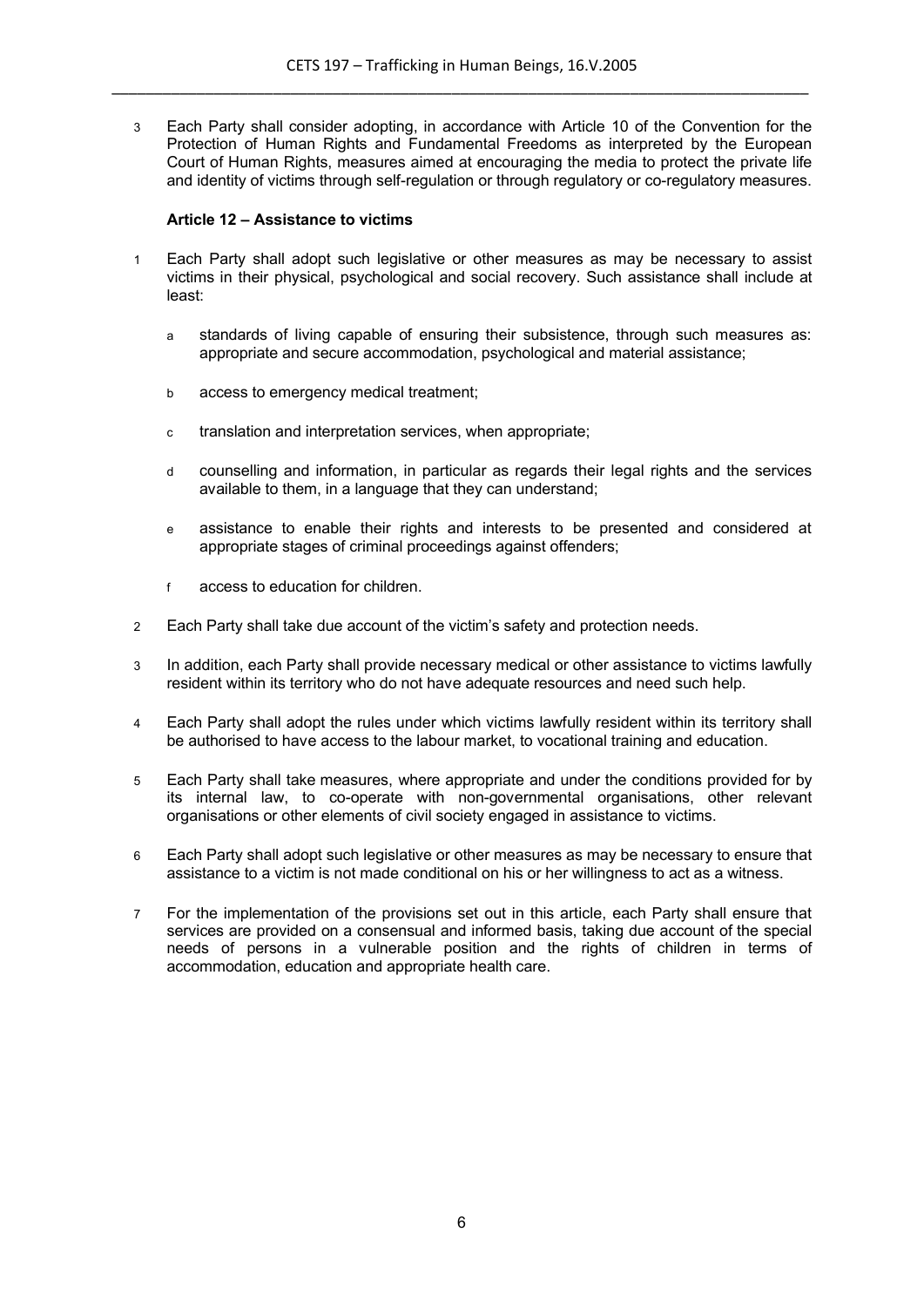3 Each Party shall consider adopting, in accordance with Article 10 of the Convention for the Protection of Human Rights and Fundamental Freedoms as interpreted by the European Court of Human Rights, measures aimed at encouraging the media to protect the private life and identity of victims through self-regulation or through regulatory or co-regulatory measures.

#### **Article 12 – Assistance to victims**

- 1 Each Party shall adopt such legislative or other measures as may be necessary to assist victims in their physical, psychological and social recovery. Such assistance shall include at least:
	- a standards of living capable of ensuring their subsistence, through such measures as: appropriate and secure accommodation, psychological and material assistance;
	- b access to emergency medical treatment;
	- c translation and interpretation services, when appropriate;
	- d counselling and information, in particular as regards their legal rights and the services available to them, in a language that they can understand;
	- e assistance to enable their rights and interests to be presented and considered at appropriate stages of criminal proceedings against offenders;
	- f access to education for children.
- 2 Each Party shall take due account of the victim's safety and protection needs.
- 3 In addition, each Party shall provide necessary medical or other assistance to victims lawfully resident within its territory who do not have adequate resources and need such help.
- 4 Each Party shall adopt the rules under which victims lawfully resident within its territory shall be authorised to have access to the labour market, to vocational training and education.
- 5 Each Party shall take measures, where appropriate and under the conditions provided for by its internal law, to co-operate with non-governmental organisations, other relevant organisations or other elements of civil society engaged in assistance to victims.
- 6 Each Party shall adopt such legislative or other measures as may be necessary to ensure that assistance to a victim is not made conditional on his or her willingness to act as a witness.
- 7 For the implementation of the provisions set out in this article, each Party shall ensure that services are provided on a consensual and informed basis, taking due account of the special needs of persons in a vulnerable position and the rights of children in terms of accommodation, education and appropriate health care.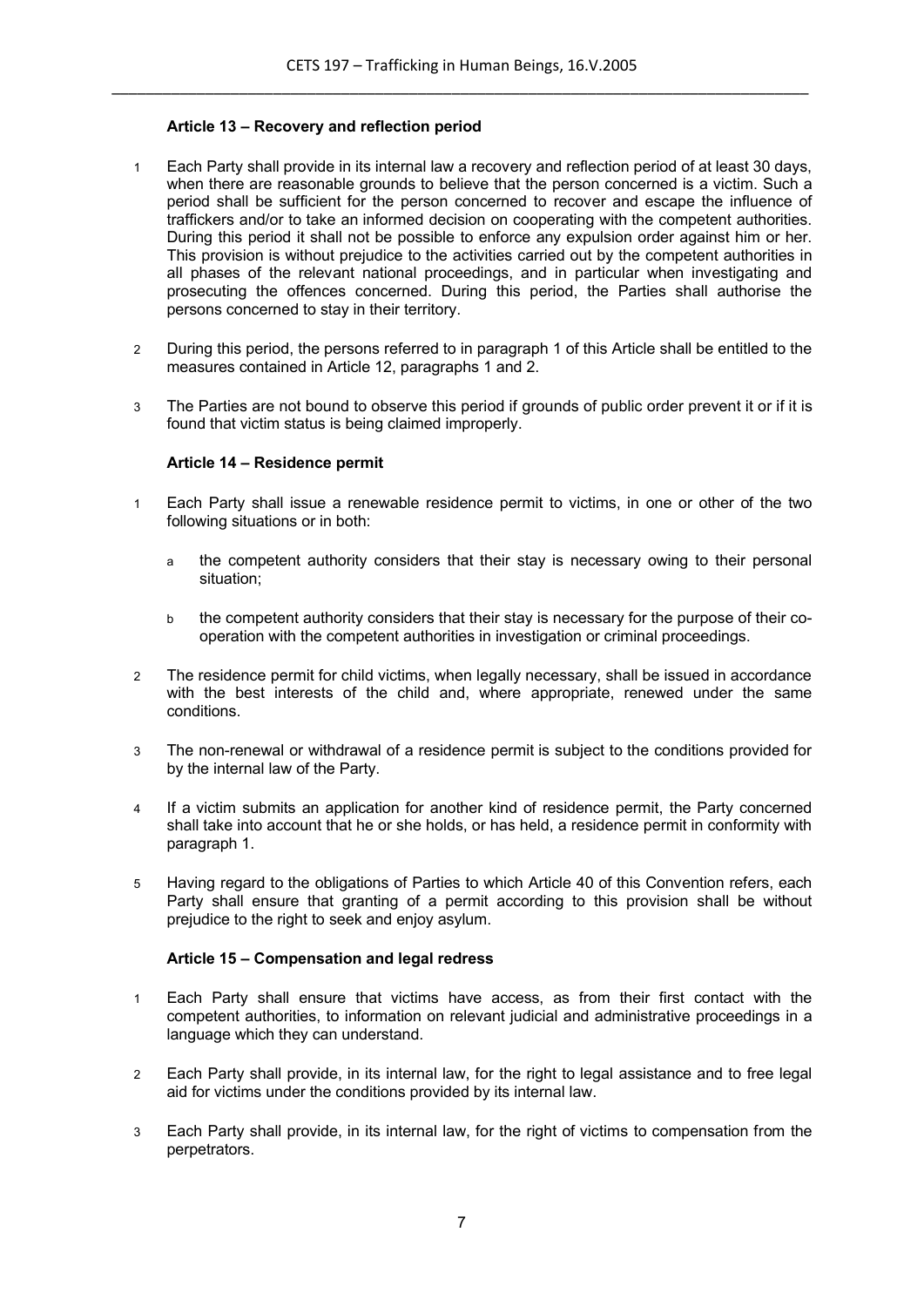### **Article 13 – Recovery and reflection period**

- 1 Each Party shall provide in its internal law a recovery and reflection period of at least 30 days, when there are reasonable grounds to believe that the person concerned is a victim. Such a period shall be sufficient for the person concerned to recover and escape the influence of traffickers and/or to take an informed decision on cooperating with the competent authorities. During this period it shall not be possible to enforce any expulsion order against him or her. This provision is without prejudice to the activities carried out by the competent authorities in all phases of the relevant national proceedings, and in particular when investigating and prosecuting the offences concerned. During this period, the Parties shall authorise the persons concerned to stay in their territory.
- 2 During this period, the persons referred to in paragraph 1 of this Article shall be entitled to the measures contained in Article 12, paragraphs 1 and 2.
- 3 The Parties are not bound to observe this period if grounds of public order prevent it or if it is found that victim status is being claimed improperly.

### **Article 14 – Residence permit**

- 1 Each Party shall issue a renewable residence permit to victims, in one or other of the two following situations or in both:
	- a the competent authority considers that their stay is necessary owing to their personal situation;
	- b the competent authority considers that their stay is necessary for the purpose of their cooperation with the competent authorities in investigation or criminal proceedings.
- 2 The residence permit for child victims, when legally necessary, shall be issued in accordance with the best interests of the child and, where appropriate, renewed under the same conditions.
- 3 The non-renewal or withdrawal of a residence permit is subject to the conditions provided for by the internal law of the Party.
- 4 If a victim submits an application for another kind of residence permit, the Party concerned shall take into account that he or she holds, or has held, a residence permit in conformity with paragraph 1.
- 5 Having regard to the obligations of Parties to which Article 40 of this Convention refers, each Party shall ensure that granting of a permit according to this provision shall be without prejudice to the right to seek and enjoy asylum.

### **Article 15 – Compensation and legal redress**

- 1 Each Party shall ensure that victims have access, as from their first contact with the competent authorities, to information on relevant judicial and administrative proceedings in a language which they can understand.
- 2 Each Party shall provide, in its internal law, for the right to legal assistance and to free legal aid for victims under the conditions provided by its internal law.
- 3 Each Party shall provide, in its internal law, for the right of victims to compensation from the perpetrators.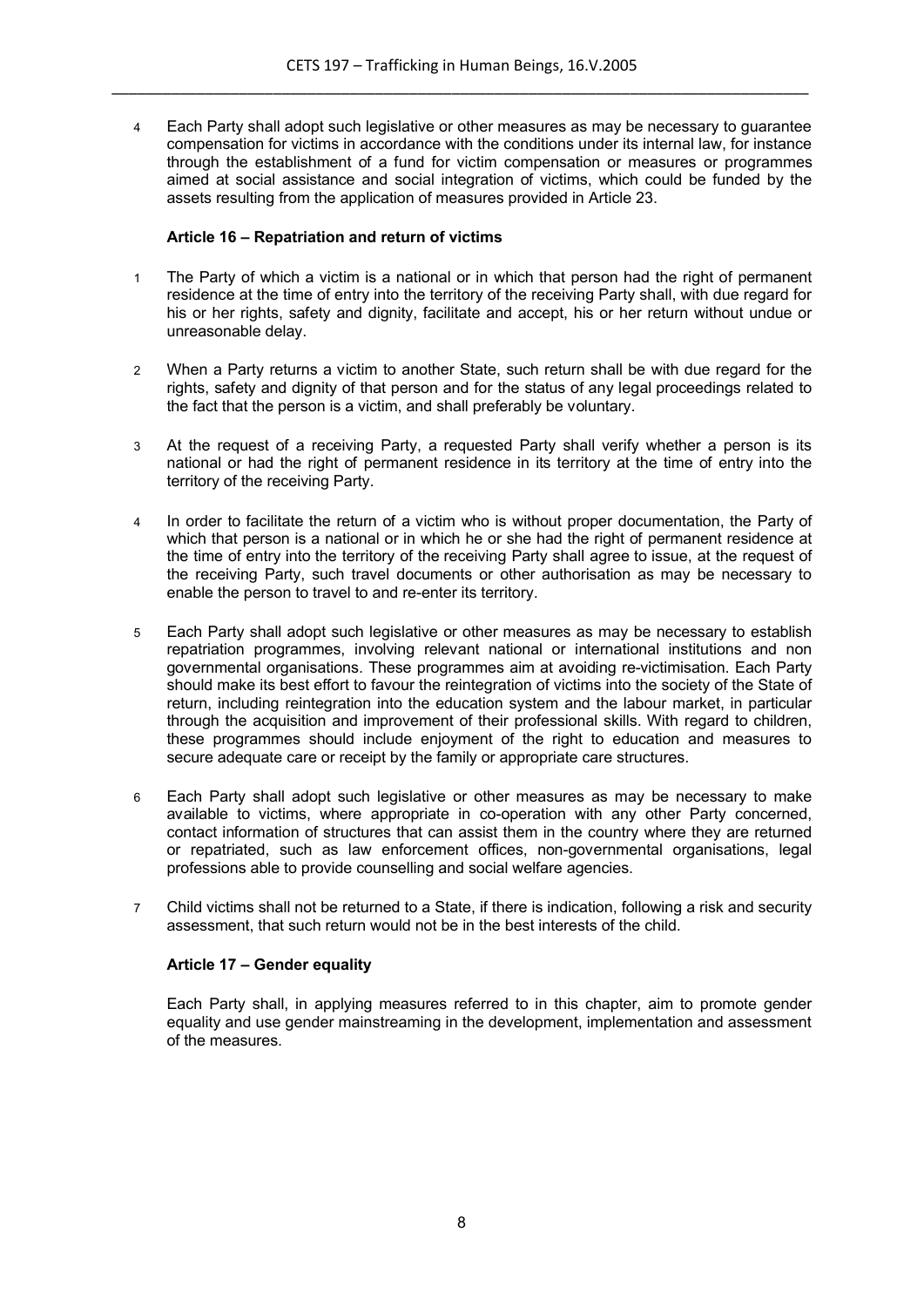4 Each Party shall adopt such legislative or other measures as may be necessary to guarantee compensation for victims in accordance with the conditions under its internal law, for instance through the establishment of a fund for victim compensation or measures or programmes aimed at social assistance and social integration of victims, which could be funded by the assets resulting from the application of measures provided in Article 23.

### **Article 16 – Repatriation and return of victims**

- 1 The Party of which a victim is a national or in which that person had the right of permanent residence at the time of entry into the territory of the receiving Party shall, with due regard for his or her rights, safety and dignity, facilitate and accept, his or her return without undue or unreasonable delay.
- 2 When a Party returns a victim to another State, such return shall be with due regard for the rights, safety and dignity of that person and for the status of any legal proceedings related to the fact that the person is a victim, and shall preferably be voluntary.
- 3 At the request of a receiving Party, a requested Party shall verify whether a person is its national or had the right of permanent residence in its territory at the time of entry into the territory of the receiving Party.
- 4 In order to facilitate the return of a victim who is without proper documentation, the Party of which that person is a national or in which he or she had the right of permanent residence at the time of entry into the territory of the receiving Party shall agree to issue, at the request of the receiving Party, such travel documents or other authorisation as may be necessary to enable the person to travel to and re-enter its territory.
- 5 Each Party shall adopt such legislative or other measures as may be necessary to establish repatriation programmes, involving relevant national or international institutions and non governmental organisations. These programmes aim at avoiding re-victimisation. Each Party should make its best effort to favour the reintegration of victims into the society of the State of return, including reintegration into the education system and the labour market, in particular through the acquisition and improvement of their professional skills. With regard to children, these programmes should include enjoyment of the right to education and measures to secure adequate care or receipt by the family or appropriate care structures.
- 6 Each Party shall adopt such legislative or other measures as may be necessary to make available to victims, where appropriate in co-operation with any other Party concerned, contact information of structures that can assist them in the country where they are returned or repatriated, such as law enforcement offices, non-governmental organisations, legal professions able to provide counselling and social welfare agencies.
- 7 Child victims shall not be returned to a State, if there is indication, following a risk and security assessment, that such return would not be in the best interests of the child.

### **Article 17 – Gender equality**

Each Party shall, in applying measures referred to in this chapter, aim to promote gender equality and use gender mainstreaming in the development, implementation and assessment of the measures.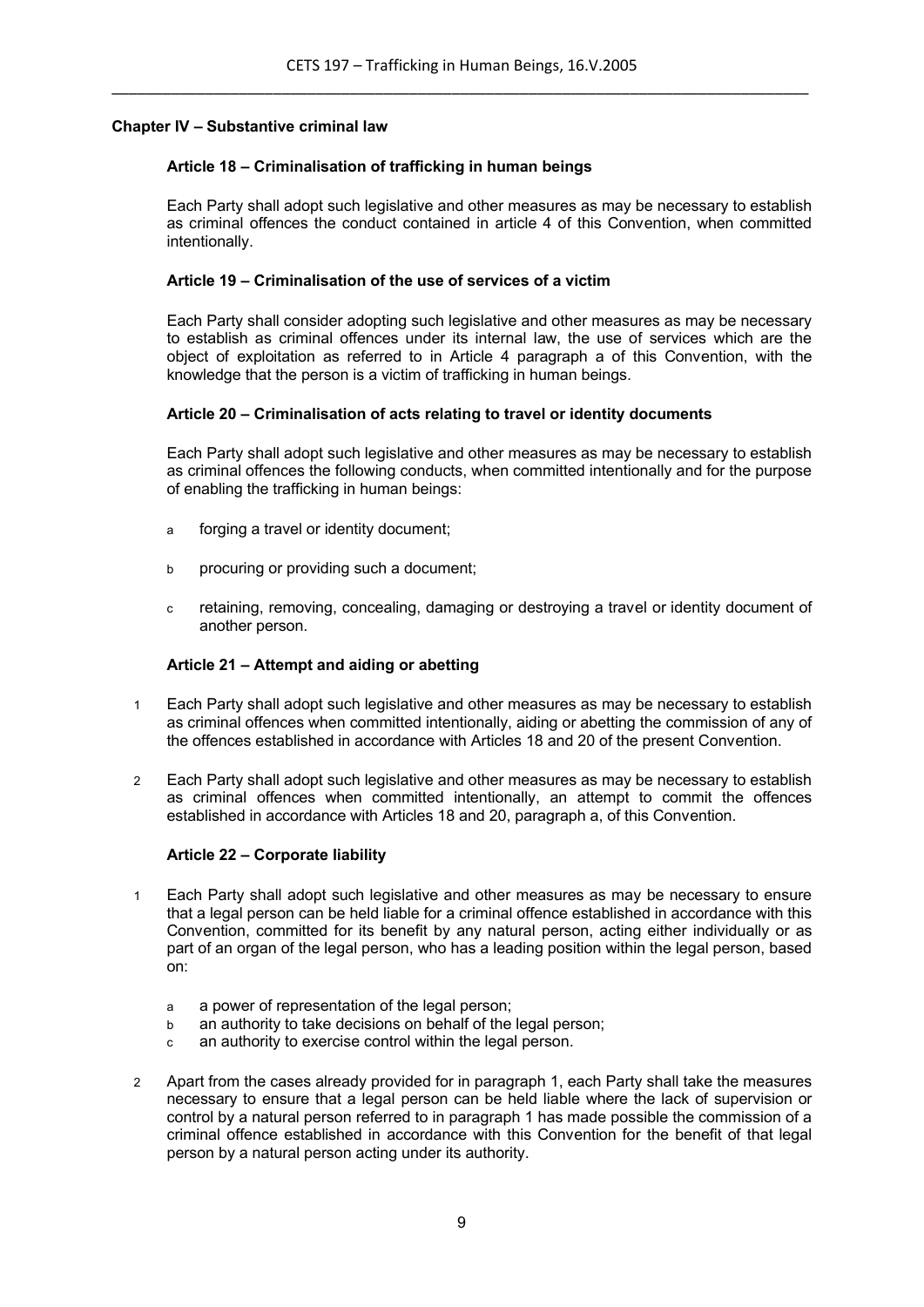### **Chapter IV – Substantive criminal law**

#### **Article 18 – Criminalisation of trafficking in human beings**

Each Party shall adopt such legislative and other measures as may be necessary to establish as criminal offences the conduct contained in article 4 of this Convention, when committed intentionally.

#### **Article 19 – Criminalisation of the use of services of a victim**

Each Party shall consider adopting such legislative and other measures as may be necessary to establish as criminal offences under its internal law, the use of services which are the object of exploitation as referred to in Article 4 paragraph a of this Convention, with the knowledge that the person is a victim of trafficking in human beings.

#### **Article 20 – Criminalisation of acts relating to travel or identity documents**

Each Party shall adopt such legislative and other measures as may be necessary to establish as criminal offences the following conducts, when committed intentionally and for the purpose of enabling the trafficking in human beings:

- a forging a travel or identity document;
- b procuring or providing such a document;
- c retaining, removing, concealing, damaging or destroying a travel or identity document of another person.

#### **Article 21 – Attempt and aiding or abetting**

- 1 Each Party shall adopt such legislative and other measures as may be necessary to establish as criminal offences when committed intentionally, aiding or abetting the commission of any of the offences established in accordance with Articles 18 and 20 of the present Convention.
- 2 Each Party shall adopt such legislative and other measures as may be necessary to establish as criminal offences when committed intentionally, an attempt to commit the offences established in accordance with Articles 18 and 20, paragraph a, of this Convention.

#### **Article 22 – Corporate liability**

- 1 Each Party shall adopt such legislative and other measures as may be necessary to ensure that a legal person can be held liable for a criminal offence established in accordance with this Convention, committed for its benefit by any natural person, acting either individually or as part of an organ of the legal person, who has a leading position within the legal person, based on:
	- a a power of representation of the legal person;
	- b an authority to take decisions on behalf of the legal person;
	- c an authority to exercise control within the legal person.
- 2 Apart from the cases already provided for in paragraph 1, each Party shall take the measures necessary to ensure that a legal person can be held liable where the lack of supervision or control by a natural person referred to in paragraph 1 has made possible the commission of a criminal offence established in accordance with this Convention for the benefit of that legal person by a natural person acting under its authority.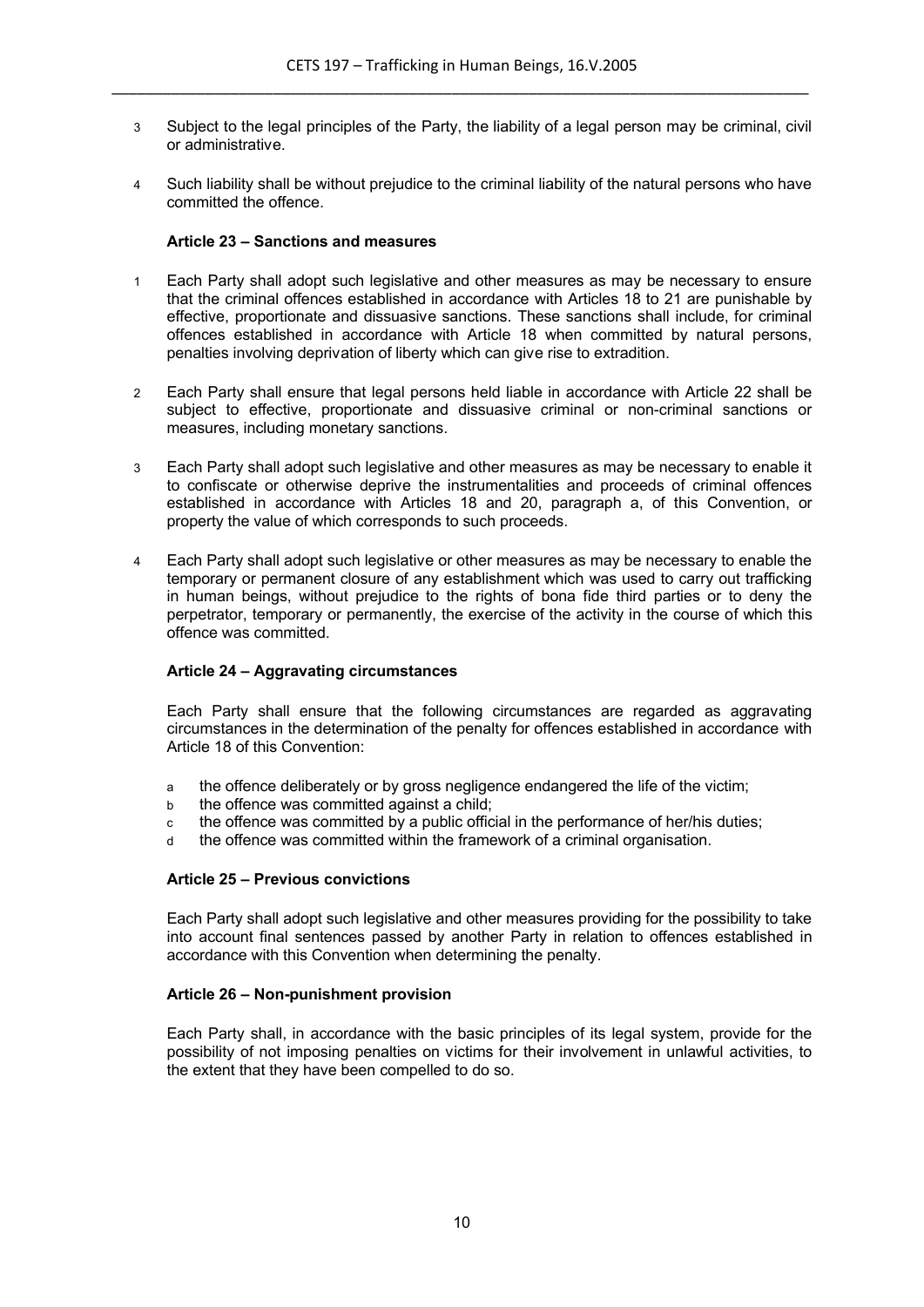- 3 Subject to the legal principles of the Party, the liability of a legal person may be criminal, civil or administrative.
- 4 Such liability shall be without prejudice to the criminal liability of the natural persons who have committed the offence.

#### **Article 23 – Sanctions and measures**

- 1 Each Party shall adopt such legislative and other measures as may be necessary to ensure that the criminal offences established in accordance with Articles 18 to 21 are punishable by effective, proportionate and dissuasive sanctions. These sanctions shall include, for criminal offences established in accordance with Article 18 when committed by natural persons, penalties involving deprivation of liberty which can give rise to extradition.
- 2 Each Party shall ensure that legal persons held liable in accordance with Article 22 shall be subject to effective, proportionate and dissuasive criminal or non-criminal sanctions or measures, including monetary sanctions.
- 3 Each Party shall adopt such legislative and other measures as may be necessary to enable it to confiscate or otherwise deprive the instrumentalities and proceeds of criminal offences established in accordance with Articles 18 and 20, paragraph a, of this Convention, or property the value of which corresponds to such proceeds.
- 4 Each Party shall adopt such legislative or other measures as may be necessary to enable the temporary or permanent closure of any establishment which was used to carry out trafficking in human beings, without prejudice to the rights of bona fide third parties or to deny the perpetrator, temporary or permanently, the exercise of the activity in the course of which this offence was committed.

### **Article 24 – Aggravating circumstances**

Each Party shall ensure that the following circumstances are regarded as aggravating circumstances in the determination of the penalty for offences established in accordance with Article 18 of this Convention:

- a the offence deliberately or by gross negligence endangered the life of the victim;
- b the offence was committed against a child;
- c the offence was committed by a public official in the performance of her/his duties;
- d the offence was committed within the framework of a criminal organisation.

#### **Article 25 – Previous convictions**

Each Party shall adopt such legislative and other measures providing for the possibility to take into account final sentences passed by another Party in relation to offences established in accordance with this Convention when determining the penalty.

#### **Article 26 – Non-punishment provision**

Each Party shall, in accordance with the basic principles of its legal system, provide for the possibility of not imposing penalties on victims for their involvement in unlawful activities, to the extent that they have been compelled to do so.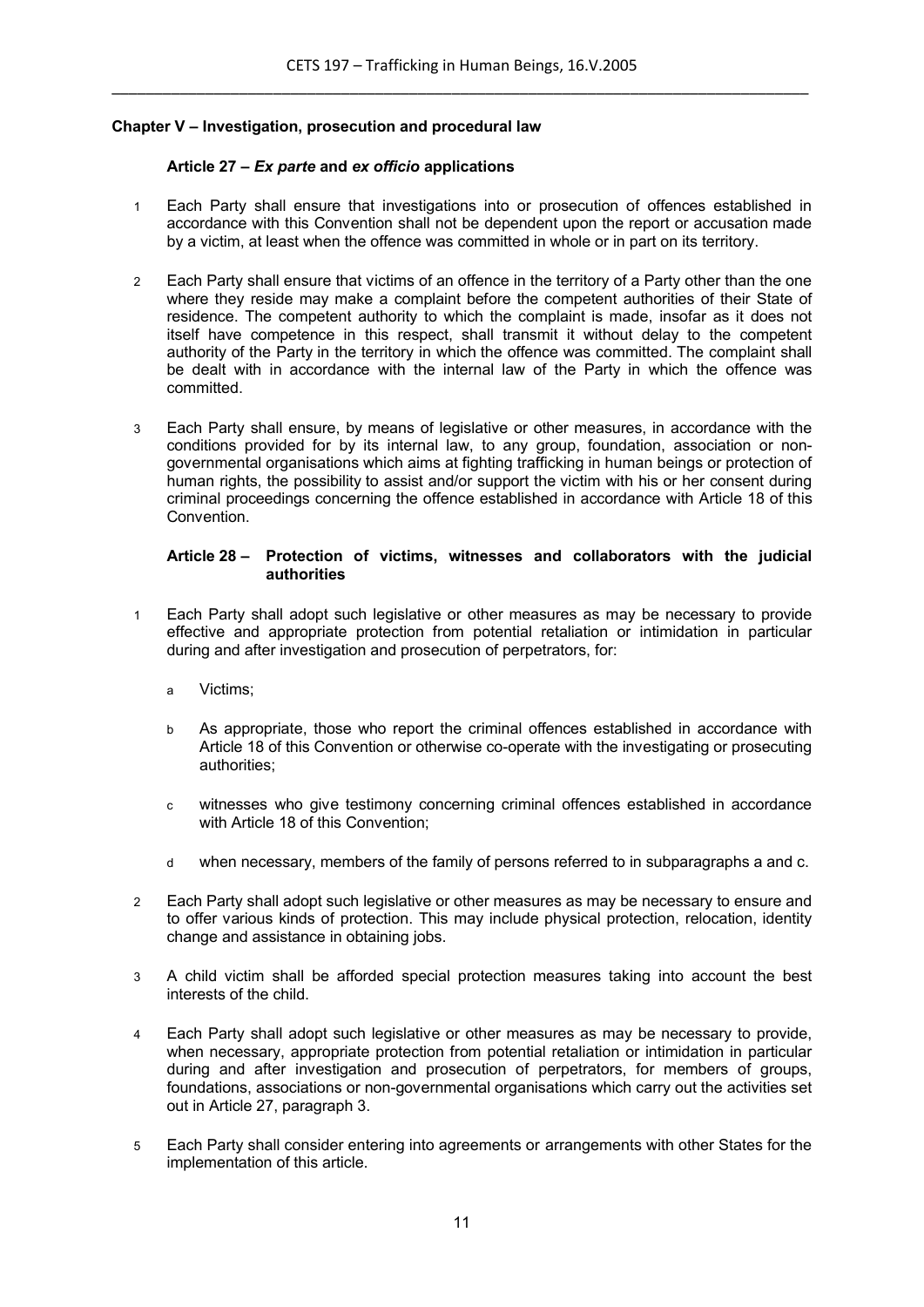### **Chapter V – Investigation, prosecution and procedural law**

#### **Article 27 –** *Ex parte* **and** *ex officio* **applications**

- 1 Each Party shall ensure that investigations into or prosecution of offences established in accordance with this Convention shall not be dependent upon the report or accusation made by a victim, at least when the offence was committed in whole or in part on its territory.
- 2 Each Party shall ensure that victims of an offence in the territory of a Party other than the one where they reside may make a complaint before the competent authorities of their State of residence. The competent authority to which the complaint is made, insofar as it does not itself have competence in this respect, shall transmit it without delay to the competent authority of the Party in the territory in which the offence was committed. The complaint shall be dealt with in accordance with the internal law of the Party in which the offence was committed.
- 3 Each Party shall ensure, by means of legislative or other measures, in accordance with the conditions provided for by its internal law, to any group, foundation, association or nongovernmental organisations which aims at fighting trafficking in human beings or protection of human rights, the possibility to assist and/or support the victim with his or her consent during criminal proceedings concerning the offence established in accordance with Article 18 of this Convention.

#### **Article 28 – Protection of victims, witnesses and collaborators with the judicial authorities**

- 1 Each Party shall adopt such legislative or other measures as may be necessary to provide effective and appropriate protection from potential retaliation or intimidation in particular during and after investigation and prosecution of perpetrators, for:
	- a Victims;
	- b As appropriate, those who report the criminal offences established in accordance with Article 18 of this Convention or otherwise co-operate with the investigating or prosecuting authorities;
	- c witnesses who give testimony concerning criminal offences established in accordance with Article 18 of this Convention;
	- d when necessary, members of the family of persons referred to in subparagraphs a and c.
- 2 Each Party shall adopt such legislative or other measures as may be necessary to ensure and to offer various kinds of protection. This may include physical protection, relocation, identity change and assistance in obtaining jobs.
- 3 A child victim shall be afforded special protection measures taking into account the best interests of the child.
- 4 Each Party shall adopt such legislative or other measures as may be necessary to provide, when necessary, appropriate protection from potential retaliation or intimidation in particular during and after investigation and prosecution of perpetrators, for members of groups, foundations, associations or non-governmental organisations which carry out the activities set out in Article 27, paragraph 3.
- 5 Each Party shall consider entering into agreements or arrangements with other States for the implementation of this article.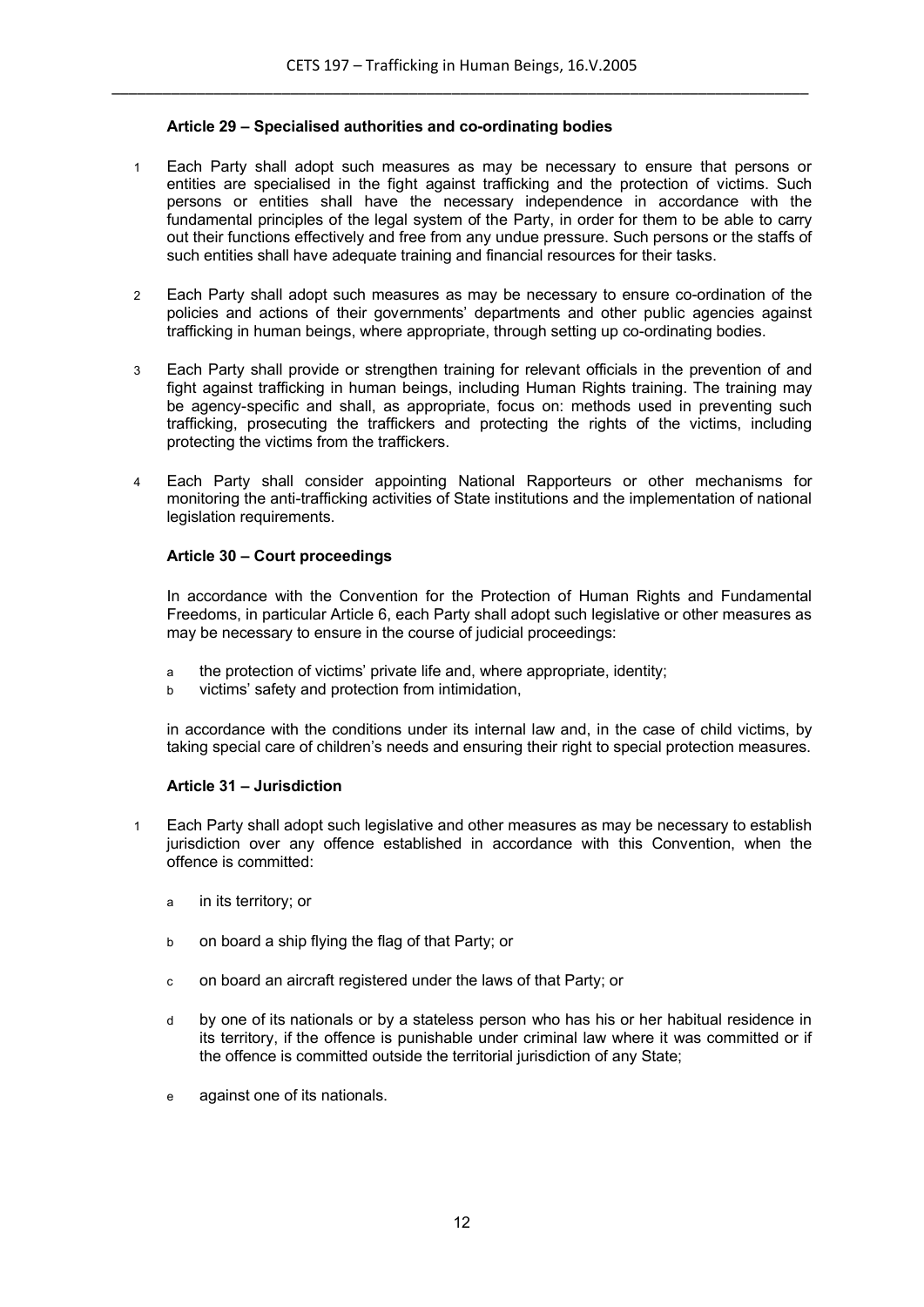#### **Article 29 – Specialised authorities and co-ordinating bodies**

- 1 Each Party shall adopt such measures as may be necessary to ensure that persons or entities are specialised in the fight against trafficking and the protection of victims. Such persons or entities shall have the necessary independence in accordance with the fundamental principles of the legal system of the Party, in order for them to be able to carry out their functions effectively and free from any undue pressure. Such persons or the staffs of such entities shall have adequate training and financial resources for their tasks.
- 2 Each Party shall adopt such measures as may be necessary to ensure co-ordination of the policies and actions of their governments' departments and other public agencies against trafficking in human beings, where appropriate, through setting up co-ordinating bodies.
- 3 Each Party shall provide or strengthen training for relevant officials in the prevention of and fight against trafficking in human beings, including Human Rights training. The training may be agency-specific and shall, as appropriate, focus on: methods used in preventing such trafficking, prosecuting the traffickers and protecting the rights of the victims, including protecting the victims from the traffickers.
- 4 Each Party shall consider appointing National Rapporteurs or other mechanisms for monitoring the anti-trafficking activities of State institutions and the implementation of national legislation requirements.

#### **Article 30 – Court proceedings**

In accordance with the Convention for the Protection of Human Rights and Fundamental Freedoms, in particular Article 6, each Party shall adopt such legislative or other measures as may be necessary to ensure in the course of judicial proceedings:

- a the protection of victims' private life and, where appropriate, identity;
- b victims' safety and protection from intimidation,

in accordance with the conditions under its internal law and, in the case of child victims, by taking special care of children's needs and ensuring their right to special protection measures.

### **Article 31 – Jurisdiction**

- 1 Each Party shall adopt such legislative and other measures as may be necessary to establish jurisdiction over any offence established in accordance with this Convention, when the offence is committed:
	- a in its territory; or
	- b on board a ship flying the flag of that Party; or
	- c on board an aircraft registered under the laws of that Party; or
	- d by one of its nationals or by a stateless person who has his or her habitual residence in its territory, if the offence is punishable under criminal law where it was committed or if the offence is committed outside the territorial jurisdiction of any State;
	- e against one of its nationals.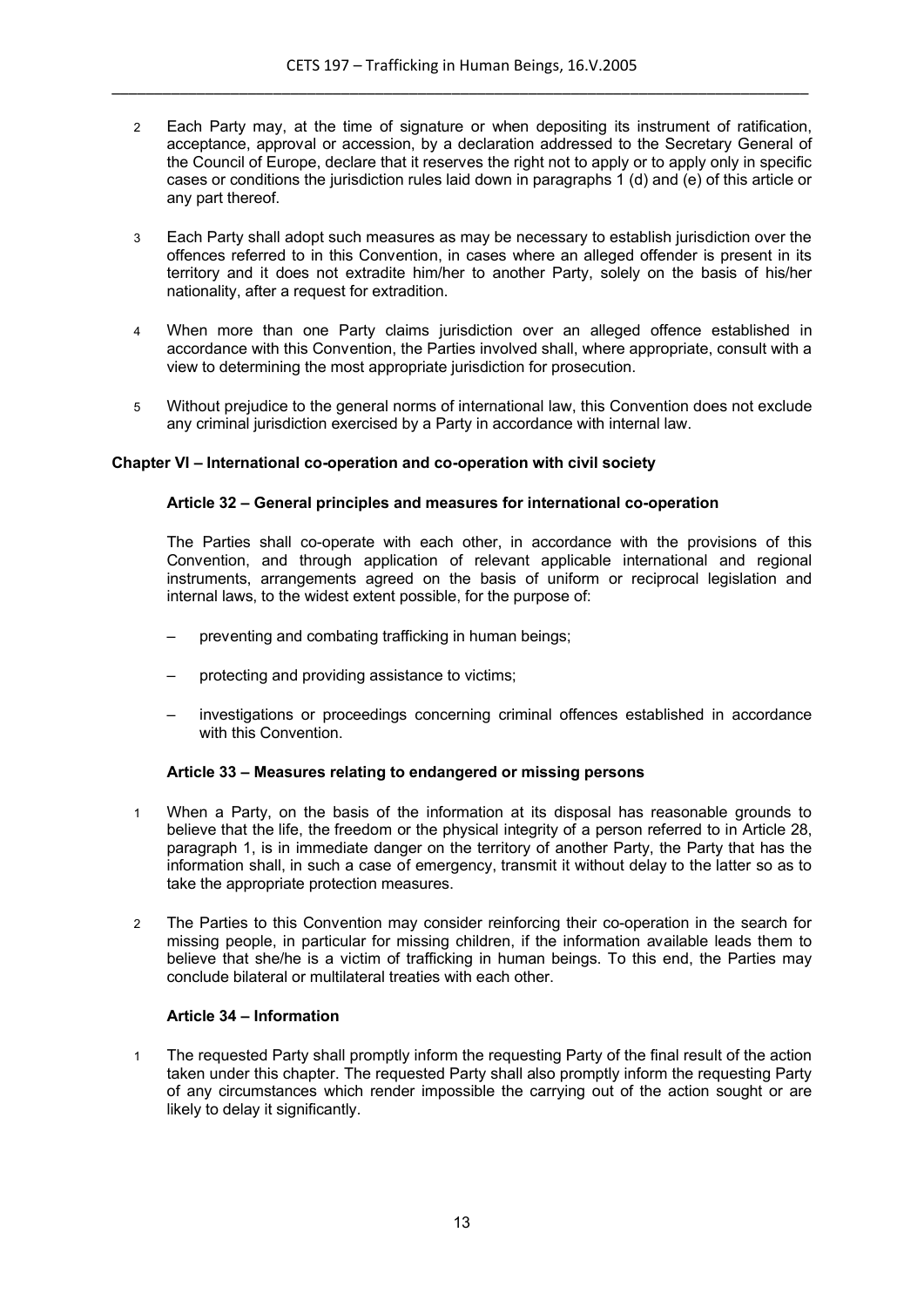- 2 Each Party may, at the time of signature or when depositing its instrument of ratification, acceptance, approval or accession, by a declaration addressed to the Secretary General of the Council of Europe, declare that it reserves the right not to apply or to apply only in specific cases or conditions the jurisdiction rules laid down in paragraphs 1 (d) and (e) of this article or any part thereof.
- 3 Each Party shall adopt such measures as may be necessary to establish jurisdiction over the offences referred to in this Convention, in cases where an alleged offender is present in its territory and it does not extradite him/her to another Party, solely on the basis of his/her nationality, after a request for extradition.
- 4 When more than one Party claims jurisdiction over an alleged offence established in accordance with this Convention, the Parties involved shall, where appropriate, consult with a view to determining the most appropriate jurisdiction for prosecution.
- 5 Without prejudice to the general norms of international law, this Convention does not exclude any criminal jurisdiction exercised by a Party in accordance with internal law.

### **Chapter VI – International co-operation and co-operation with civil society**

#### **Article 32 – General principles and measures for international co-operation**

The Parties shall co-operate with each other, in accordance with the provisions of this Convention, and through application of relevant applicable international and regional instruments, arrangements agreed on the basis of uniform or reciprocal legislation and internal laws, to the widest extent possible, for the purpose of:

- preventing and combating trafficking in human beings;
- protecting and providing assistance to victims;
- investigations or proceedings concerning criminal offences established in accordance with this Convention.

#### **Article 33 – Measures relating to endangered or missing persons**

- 1 When a Party, on the basis of the information at its disposal has reasonable grounds to believe that the life, the freedom or the physical integrity of a person referred to in Article 28, paragraph 1, is in immediate danger on the territory of another Party, the Party that has the information shall, in such a case of emergency, transmit it without delay to the latter so as to take the appropriate protection measures.
- 2 The Parties to this Convention may consider reinforcing their co-operation in the search for missing people, in particular for missing children, if the information available leads them to believe that she/he is a victim of trafficking in human beings. To this end, the Parties may conclude bilateral or multilateral treaties with each other.

#### **Article 34 – Information**

1 The requested Party shall promptly inform the requesting Party of the final result of the action taken under this chapter. The requested Party shall also promptly inform the requesting Party of any circumstances which render impossible the carrying out of the action sought or are likely to delay it significantly.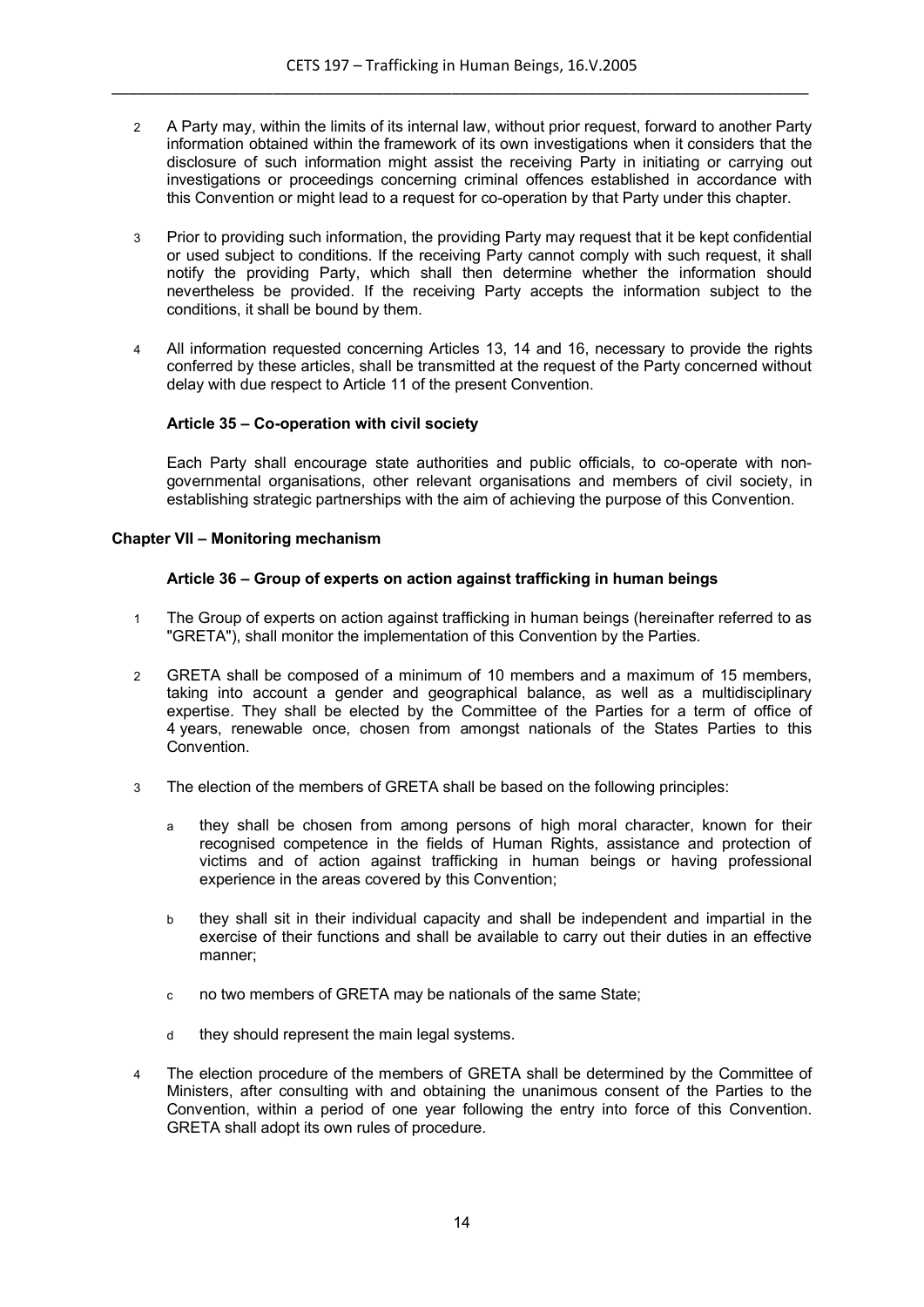- 2 A Party may, within the limits of its internal law, without prior request, forward to another Party information obtained within the framework of its own investigations when it considers that the disclosure of such information might assist the receiving Party in initiating or carrying out investigations or proceedings concerning criminal offences established in accordance with this Convention or might lead to a request for co-operation by that Party under this chapter.
- 3 Prior to providing such information, the providing Party may request that it be kept confidential or used subject to conditions. If the receiving Party cannot comply with such request, it shall notify the providing Party, which shall then determine whether the information should nevertheless be provided. If the receiving Party accepts the information subject to the conditions, it shall be bound by them.
- 4 All information requested concerning Articles 13, 14 and 16, necessary to provide the rights conferred by these articles, shall be transmitted at the request of the Party concerned without delay with due respect to Article 11 of the present Convention.

### **Article 35 – Co-operation with civil society**

Each Party shall encourage state authorities and public officials, to co-operate with nongovernmental organisations, other relevant organisations and members of civil society, in establishing strategic partnerships with the aim of achieving the purpose of this Convention.

#### **Chapter VII – Monitoring mechanism**

#### **Article 36 – Group of experts on action against trafficking in human beings**

- 1 The Group of experts on action against trafficking in human beings (hereinafter referred to as "GRETA"), shall monitor the implementation of this Convention by the Parties.
- 2 GRETA shall be composed of a minimum of 10 members and a maximum of 15 members, taking into account a gender and geographical balance, as well as a multidisciplinary expertise. They shall be elected by the Committee of the Parties for a term of office of 4 years, renewable once, chosen from amongst nationals of the States Parties to this Convention.
- 3 The election of the members of GRETA shall be based on the following principles:
	- a they shall be chosen from among persons of high moral character, known for their recognised competence in the fields of Human Rights, assistance and protection of victims and of action against trafficking in human beings or having professional experience in the areas covered by this Convention;
	- b they shall sit in their individual capacity and shall be independent and impartial in the exercise of their functions and shall be available to carry out their duties in an effective manner;
	- c no two members of GRETA may be nationals of the same State;
	- d they should represent the main legal systems.
- 4 The election procedure of the members of GRETA shall be determined by the Committee of Ministers, after consulting with and obtaining the unanimous consent of the Parties to the Convention, within a period of one year following the entry into force of this Convention. GRETA shall adopt its own rules of procedure.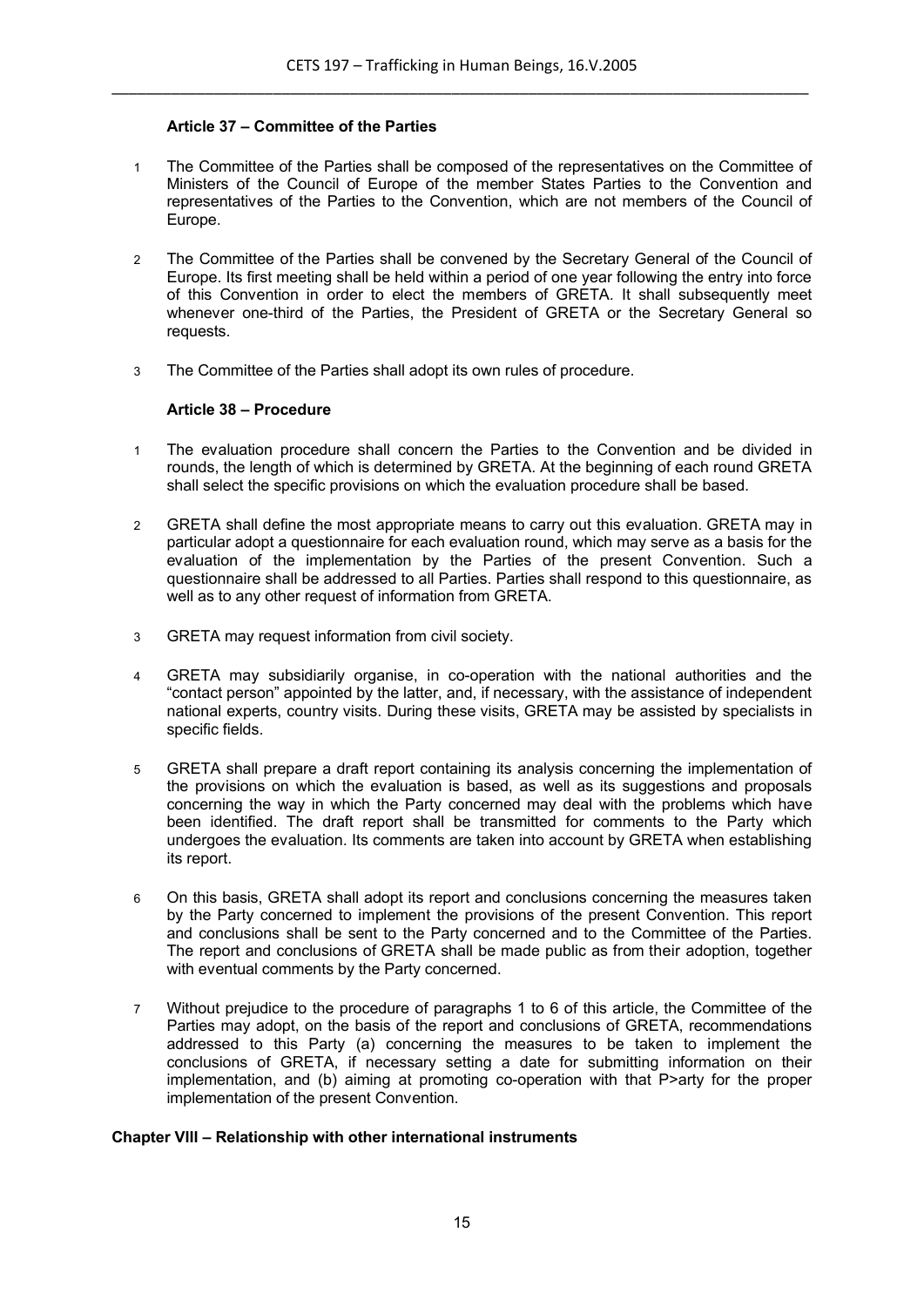### **Article 37 – Committee of the Parties**

- 1 The Committee of the Parties shall be composed of the representatives on the Committee of Ministers of the Council of Europe of the member States Parties to the Convention and representatives of the Parties to the Convention, which are not members of the Council of Europe.
- 2 The Committee of the Parties shall be convened by the Secretary General of the Council of Europe. Its first meeting shall be held within a period of one year following the entry into force of this Convention in order to elect the members of GRETA. It shall subsequently meet whenever one-third of the Parties, the President of GRETA or the Secretary General so requests.
- 3 The Committee of the Parties shall adopt its own rules of procedure.

### **Article 38 – Procedure**

- 1 The evaluation procedure shall concern the Parties to the Convention and be divided in rounds, the length of which is determined by GRETA. At the beginning of each round GRETA shall select the specific provisions on which the evaluation procedure shall be based.
- 2 GRETA shall define the most appropriate means to carry out this evaluation. GRETA may in particular adopt a questionnaire for each evaluation round, which may serve as a basis for the evaluation of the implementation by the Parties of the present Convention. Such a questionnaire shall be addressed to all Parties. Parties shall respond to this questionnaire, as well as to any other request of information from GRETA.
- 3 GRETA may request information from civil society.
- 4 GRETA may subsidiarily organise, in co-operation with the national authorities and the "contact person" appointed by the latter, and, if necessary, with the assistance of independent national experts, country visits. During these visits, GRETA may be assisted by specialists in specific fields.
- 5 GRETA shall prepare a draft report containing its analysis concerning the implementation of the provisions on which the evaluation is based, as well as its suggestions and proposals concerning the way in which the Party concerned may deal with the problems which have been identified. The draft report shall be transmitted for comments to the Party which undergoes the evaluation. Its comments are taken into account by GRETA when establishing its report.
- 6 On this basis, GRETA shall adopt its report and conclusions concerning the measures taken by the Party concerned to implement the provisions of the present Convention. This report and conclusions shall be sent to the Party concerned and to the Committee of the Parties. The report and conclusions of GRETA shall be made public as from their adoption, together with eventual comments by the Party concerned.
- 7 Without prejudice to the procedure of paragraphs 1 to 6 of this article, the Committee of the Parties may adopt, on the basis of the report and conclusions of GRETA, recommendations addressed to this Party (a) concerning the measures to be taken to implement the conclusions of GRETA, if necessary setting a date for submitting information on their implementation, and (b) aiming at promoting co-operation with that P>arty for the proper implementation of the present Convention.

### **Chapter VIII – Relationship with other international instruments**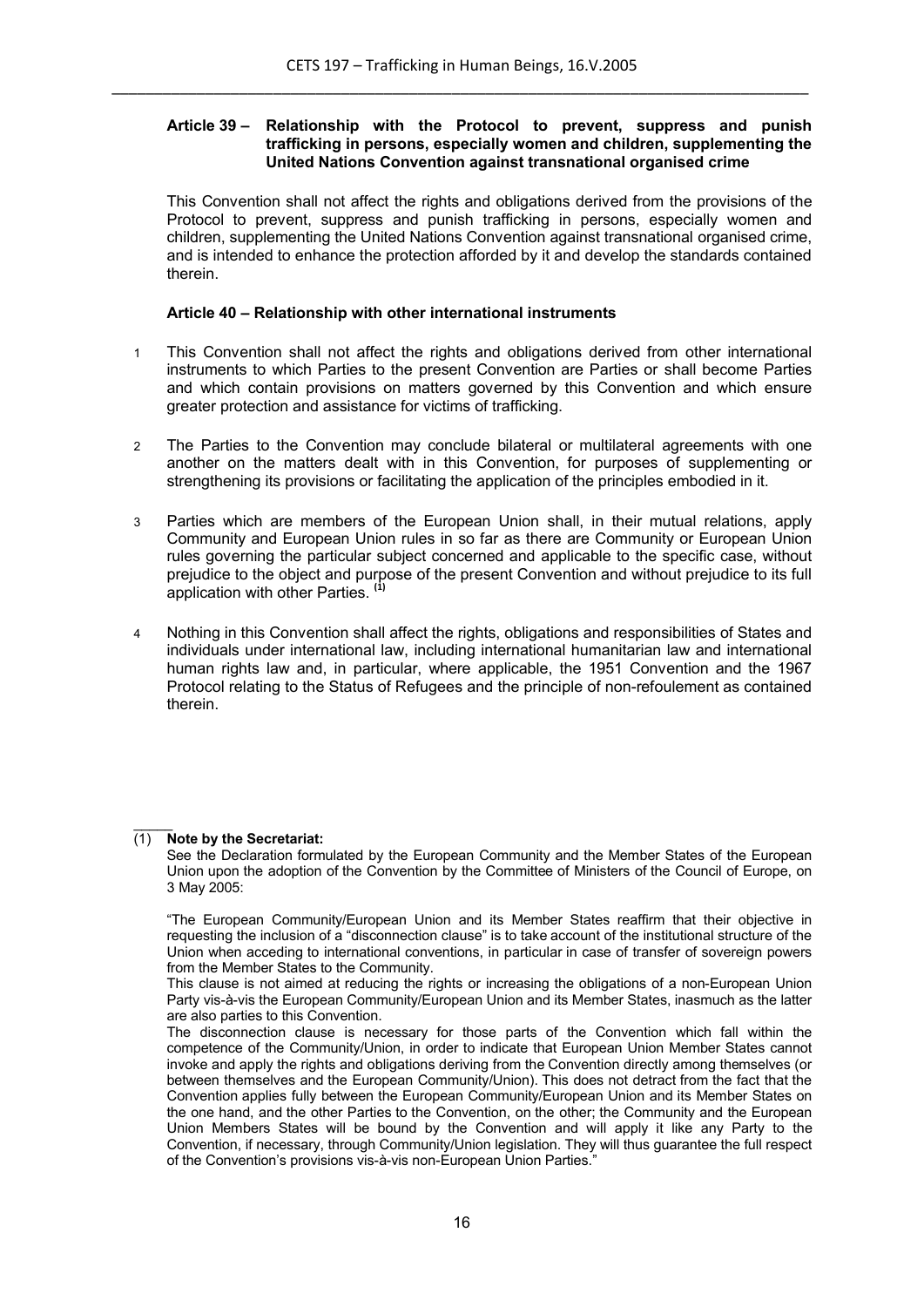#### **Article 39 – Relationship with the Protocol to prevent, suppress and punish trafficking in persons, especially women and children, supplementing the United Nations Convention against transnational organised crime**

This Convention shall not affect the rights and obligations derived from the provisions of the Protocol to prevent, suppress and punish trafficking in persons, especially women and children, supplementing the United Nations Convention against transnational organised crime, and is intended to enhance the protection afforded by it and develop the standards contained therein.

#### **Article 40 – Relationship with other international instruments**

- 1 This Convention shall not affect the rights and obligations derived from other international instruments to which Parties to the present Convention are Parties or shall become Parties and which contain provisions on matters governed by this Convention and which ensure greater protection and assistance for victims of trafficking.
- 2 The Parties to the Convention may conclude bilateral or multilateral agreements with one another on the matters dealt with in this Convention, for purposes of supplementing or strengthening its provisions or facilitating the application of the principles embodied in it.
- 3 Parties which are members of the European Union shall, in their mutual relations, apply Community and European Union rules in so far as there are Community or European Union rules governing the particular subject concerned and applicable to the specific case, without prejudice to the object and purpose of the present Convention and without prejudice to its full application with other Parties. **(1)**
- 4 Nothing in this Convention shall affect the rights, obligations and responsibilities of States and individuals under international law, including international humanitarian law and international human rights law and, in particular, where applicable, the 1951 Convention and the 1967 Protocol relating to the Status of Refugees and the principle of non-refoulement as contained therein.

#### $\mathcal{L}$ (1) **Note by the Secretariat:**

See the Declaration formulated by the European Community and the Member States of the European Union upon the adoption of the Convention by the Committee of Ministers of the Council of Europe, on 3 May 2005:

"The European Community/European Union and its Member States reaffirm that their objective in requesting the inclusion of a "disconnection clause" is to take account of the institutional structure of the Union when acceding to international conventions, in particular in case of transfer of sovereign powers from the Member States to the Community.

This clause is not aimed at reducing the rights or increasing the obligations of a non-European Union Party vis-à-vis the European Community/European Union and its Member States, inasmuch as the latter are also parties to this Convention.

The disconnection clause is necessary for those parts of the Convention which fall within the competence of the Community/Union, in order to indicate that European Union Member States cannot invoke and apply the rights and obligations deriving from the Convention directly among themselves (or between themselves and the European Community/Union). This does not detract from the fact that the Convention applies fully between the European Community/European Union and its Member States on the one hand, and the other Parties to the Convention, on the other; the Community and the European Union Members States will be bound by the Convention and will apply it like any Party to the Convention, if necessary, through Community/Union legislation. They will thus guarantee the full respect of the Convention's provisions vis-à-vis non-European Union Parties."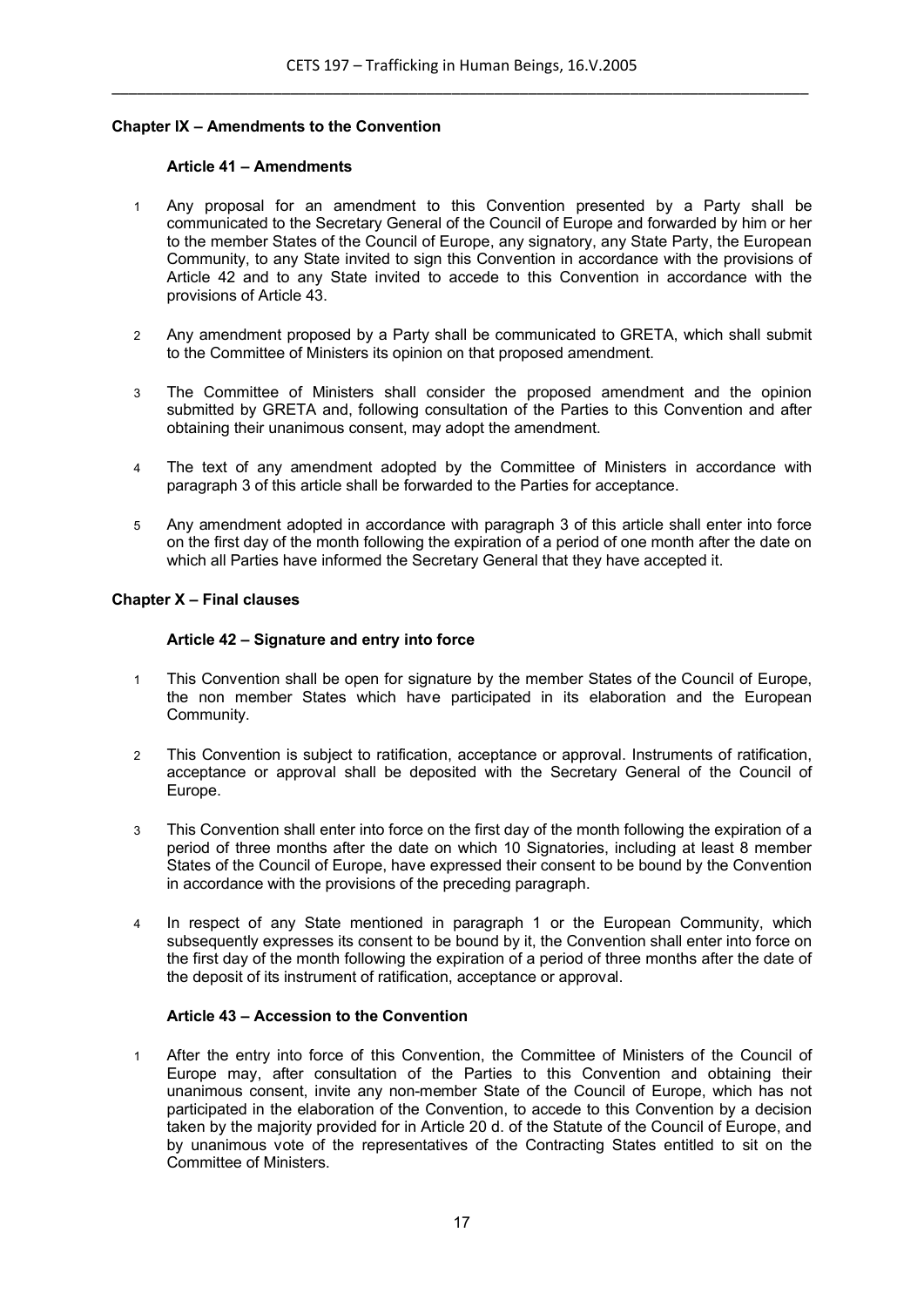### **Chapter IX – Amendments to the Convention**

#### **Article 41 – Amendments**

- 1 Any proposal for an amendment to this Convention presented by a Party shall be communicated to the Secretary General of the Council of Europe and forwarded by him or her to the member States of the Council of Europe, any signatory, any State Party, the European Community, to any State invited to sign this Convention in accordance with the provisions of Article 42 and to any State invited to accede to this Convention in accordance with the provisions of Article 43.
- 2 Any amendment proposed by a Party shall be communicated to GRETA, which shall submit to the Committee of Ministers its opinion on that proposed amendment.
- 3 The Committee of Ministers shall consider the proposed amendment and the opinion submitted by GRETA and, following consultation of the Parties to this Convention and after obtaining their unanimous consent, may adopt the amendment.
- 4 The text of any amendment adopted by the Committee of Ministers in accordance with paragraph 3 of this article shall be forwarded to the Parties for acceptance.
- 5 Any amendment adopted in accordance with paragraph 3 of this article shall enter into force on the first day of the month following the expiration of a period of one month after the date on which all Parties have informed the Secretary General that they have accepted it.

#### **Chapter X – Final clauses**

#### **Article 42 – Signature and entry into force**

- 1 This Convention shall be open for signature by the member States of the Council of Europe, the non member States which have participated in its elaboration and the European Community.
- 2 This Convention is subject to ratification, acceptance or approval. Instruments of ratification, acceptance or approval shall be deposited with the Secretary General of the Council of Europe.
- 3 This Convention shall enter into force on the first day of the month following the expiration of a period of three months after the date on which 10 Signatories, including at least 8 member States of the Council of Europe, have expressed their consent to be bound by the Convention in accordance with the provisions of the preceding paragraph.
- 4 In respect of any State mentioned in paragraph 1 or the European Community, which subsequently expresses its consent to be bound by it, the Convention shall enter into force on the first day of the month following the expiration of a period of three months after the date of the deposit of its instrument of ratification, acceptance or approval.

#### **Article 43 – Accession to the Convention**

1 After the entry into force of this Convention, the Committee of Ministers of the Council of Europe may, after consultation of the Parties to this Convention and obtaining their unanimous consent, invite any non-member State of the Council of Europe, which has not participated in the elaboration of the Convention, to accede to this Convention by a decision taken by the majority provided for in Article 20 d. of the Statute of the Council of Europe, and by unanimous vote of the representatives of the Contracting States entitled to sit on the Committee of Ministers.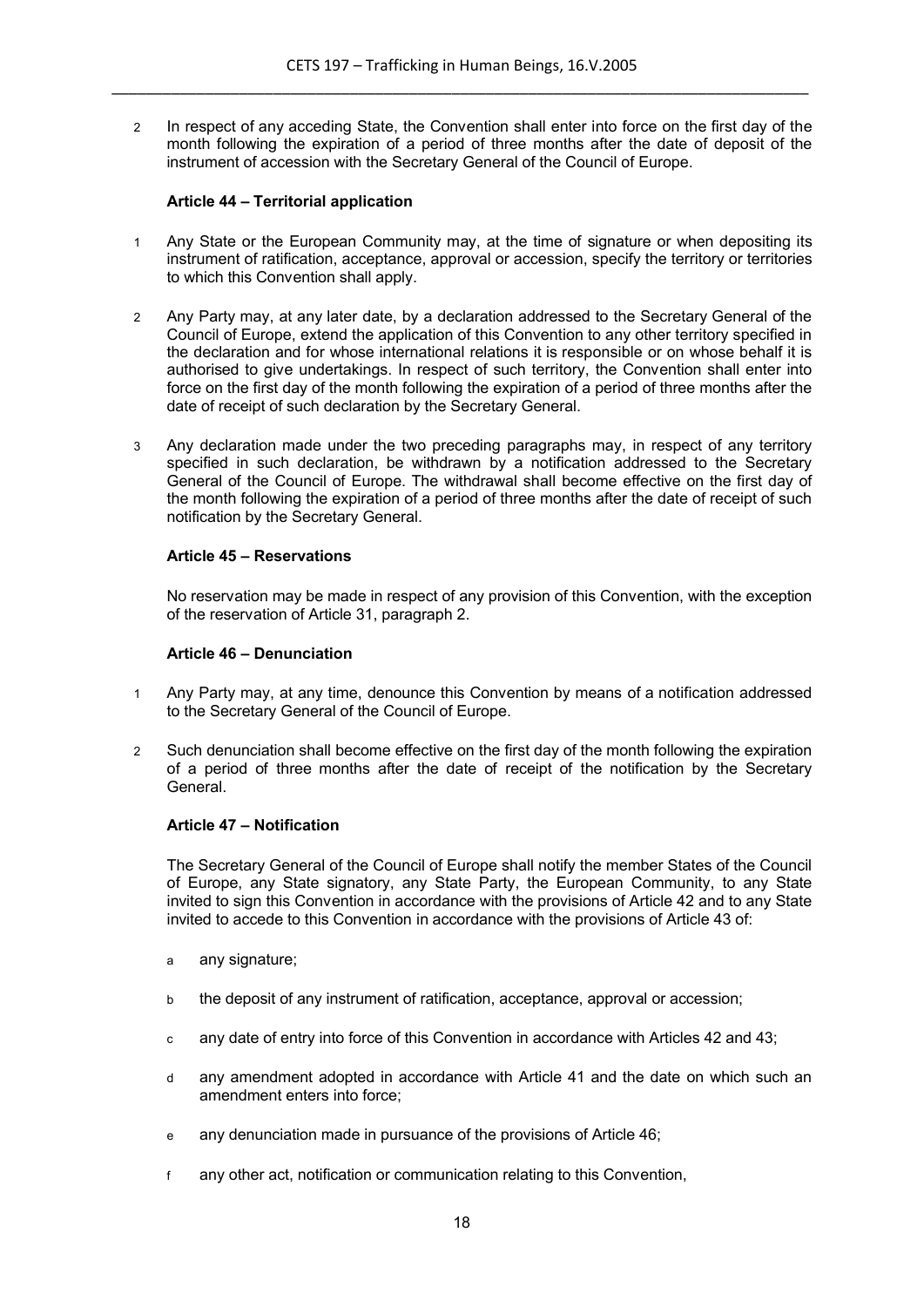2 In respect of any acceding State, the Convention shall enter into force on the first day of the month following the expiration of a period of three months after the date of deposit of the instrument of accession with the Secretary General of the Council of Europe.

### **Article 44 – Territorial application**

- 1 Any State or the European Community may, at the time of signature or when depositing its instrument of ratification, acceptance, approval or accession, specify the territory or territories to which this Convention shall apply.
- 2 Any Party may, at any later date, by a declaration addressed to the Secretary General of the Council of Europe, extend the application of this Convention to any other territory specified in the declaration and for whose international relations it is responsible or on whose behalf it is authorised to give undertakings. In respect of such territory, the Convention shall enter into force on the first day of the month following the expiration of a period of three months after the date of receipt of such declaration by the Secretary General.
- 3 Any declaration made under the two preceding paragraphs may, in respect of any territory specified in such declaration, be withdrawn by a notification addressed to the Secretary General of the Council of Europe. The withdrawal shall become effective on the first day of the month following the expiration of a period of three months after the date of receipt of such notification by the Secretary General.

## **Article 45 – Reservations**

No reservation may be made in respect of any provision of this Convention, with the exception of the reservation of Article 31, paragraph 2.

### **Article 46 – Denunciation**

- 1 Any Party may, at any time, denounce this Convention by means of a notification addressed to the Secretary General of the Council of Europe.
- 2 Such denunciation shall become effective on the first day of the month following the expiration of a period of three months after the date of receipt of the notification by the Secretary General.

### **Article 47 – Notification**

The Secretary General of the Council of Europe shall notify the member States of the Council of Europe, any State signatory, any State Party, the European Community, to any State invited to sign this Convention in accordance with the provisions of Article 42 and to any State invited to accede to this Convention in accordance with the provisions of Article 43 of:

- a any signature;
- b the deposit of any instrument of ratification, acceptance, approval or accession;
- c any date of entry into force of this Convention in accordance with Articles 42 and 43;
- d any amendment adopted in accordance with Article 41 and the date on which such an amendment enters into force;
- e any denunciation made in pursuance of the provisions of Article 46;
- f any other act, notification or communication relating to this Convention,